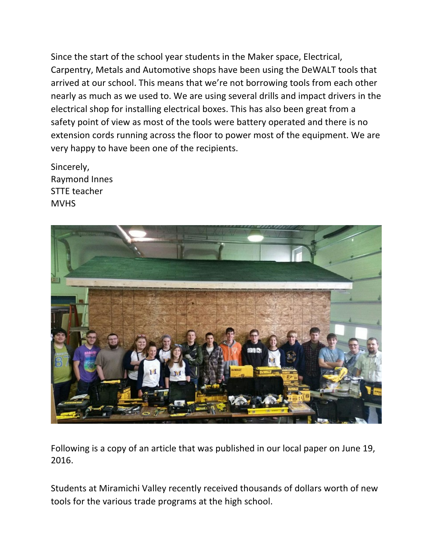Since the start of the school year students in the Maker space, Electrical, Carpentry, Metals and Automotive shops have been using the DeWALT tools that arrived at our school. This means that we're not borrowing tools from each other nearly as much as we used to. We are using several drills and impact drivers in the electrical shop for installing electrical boxes. This has also been great from a safety point of view as most of the tools were battery operated and there is no extension cords running across the floor to power most of the equipment. We are very happy to have been one of the recipients.

Sincerely, Raymond Innes STTE teacher MVHS



Following is a copy of an article that was published in our local paper on June 19, 2016.

Students at Miramichi Valley recently received thousands of dollars worth of new tools for the various trade programs at the high school.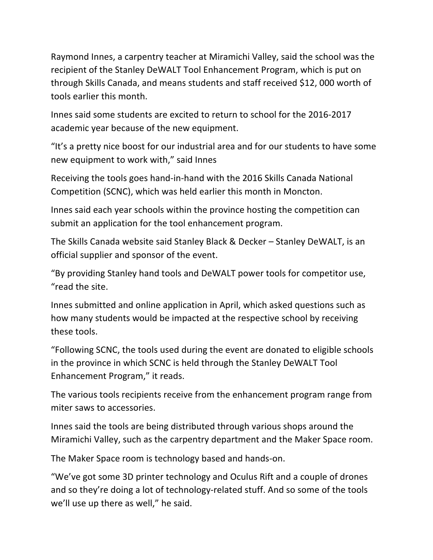Raymond Innes, a carpentry teacher at Miramichi Valley, said the school was the recipient of the Stanley DeWALT Tool Enhancement Program, which is put on through Skills Canada, and means students and staff received \$12, 000 worth of tools earlier this month.

Innes said some students are excited to return to school for the 2016-2017 academic year because of the new equipment.

"It's a pretty nice boost for our industrial area and for our students to have some new equipment to work with," said Innes

Receiving the tools goes hand-in-hand with the 2016 Skills Canada National Competition (SCNC), which was held earlier this month in Moncton.

Innes said each year schools within the province hosting the competition can submit an application for the tool enhancement program.

The Skills Canada website said Stanley Black & Decker – Stanley DeWALT, is an official supplier and sponsor of the event.

"By providing Stanley hand tools and DeWALT power tools for competitor use, "read the site.

Innes submitted and online application in April, which asked questions such as how many students would be impacted at the respective school by receiving these tools.

"Following SCNC, the tools used during the event are donated to eligible schools in the province in which SCNC is held through the Stanley DeWALT Tool Enhancement Program," it reads.

The various tools recipients receive from the enhancement program range from miter saws to accessories.

Innes said the tools are being distributed through various shops around the Miramichi Valley, such as the carpentry department and the Maker Space room.

The Maker Space room is technology based and hands-on.

"We've got some 3D printer technology and Oculus Rift and a couple of drones and so they're doing a lot of technology-related stuff. And so some of the tools we'll use up there as well," he said.